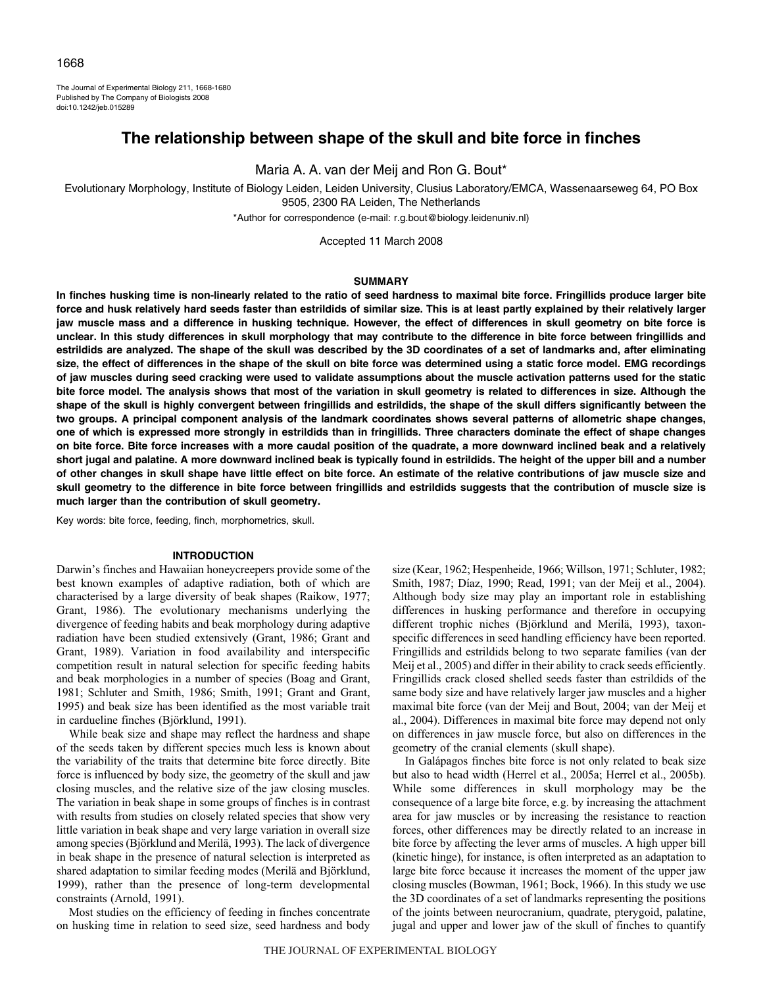The Journal of Experimental Biology 211, 1668-1680 Published by The Company of Biologists 2008 doi:10.1242/jeb.015289

# **The relationship between shape of the skull and bite force in finches**

Maria A. A. van der Meij and Ron G. Bout\*

Evolutionary Morphology, Institute of Biology Leiden, Leiden University, Clusius Laboratory/EMCA, Wassenaarseweg 64, PO Box 9505, 2300 RA Leiden, The Netherlands

\*Author for correspondence (e-mail: r.g.bout@biology.leidenuniv.nl)

Accepted 11 March 2008

## **SUMMARY**

**In finches husking time is non-linearly related to the ratio of seed hardness to maximal bite force. Fringillids produce larger bite force and husk relatively hard seeds faster than estrildids of similar size. This is at least partly explained by their relatively larger jaw muscle mass and a difference in husking technique. However, the effect of differences in skull geometry on bite force is unclear. In this study differences in skull morphology that may contribute to the difference in bite force between fringillids and estrildids are analyzed. The shape of the skull was described by the 3D coordinates of a set of landmarks and, after eliminating size, the effect of differences in the shape of the skull on bite force was determined using a static force model. EMG recordings of jaw muscles during seed cracking were used to validate assumptions about the muscle activation patterns used for the static bite force model. The analysis shows that most of the variation in skull geometry is related to differences in size. Although the shape of the skull is highly convergent between fringillids and estrildids, the shape of the skull differs significantly between the two groups. A principal component analysis of the landmark coordinates shows several patterns of allometric shape changes, one of which is expressed more strongly in estrildids than in fringillids. Three characters dominate the effect of shape changes on bite force. Bite force increases with a more caudal position of the quadrate, a more downward inclined beak and a relatively short jugal and palatine. A more downward inclined beak is typically found in estrildids. The height of the upper bill and a number of other changes in skull shape have little effect on bite force. An estimate of the relative contributions of jaw muscle size and skull geometry to the difference in bite force between fringillids and estrildids suggests that the contribution of muscle size is much larger than the contribution of skull geometry.**

Key words: bite force, feeding, finch, morphometrics, skull.

#### **INTRODUCTION**

Darwin's finches and Hawaiian honeycreepers provide some of the best known examples of adaptive radiation, both of which are characterised by a large diversity of beak shapes (Raikow, 1977; Grant, 1986). The evolutionary mechanisms underlying the divergence of feeding habits and beak morphology during adaptive radiation have been studied extensively (Grant, 1986; Grant and Grant, 1989). Variation in food availability and interspecific competition result in natural selection for specific feeding habits and beak morphologies in a number of species (Boag and Grant, 1981; Schluter and Smith, 1986; Smith, 1991; Grant and Grant, 1995) and beak size has been identified as the most variable trait in cardueline finches (Björklund, 1991).

While beak size and shape may reflect the hardness and shape of the seeds taken by different species much less is known about the variability of the traits that determine bite force directly. Bite force is influenced by body size, the geometry of the skull and jaw closing muscles, and the relative size of the jaw closing muscles. The variation in beak shape in some groups of finches is in contrast with results from studies on closely related species that show very little variation in beak shape and very large variation in overall size among species (Björklund and Merilä, 1993). The lack of divergence in beak shape in the presence of natural selection is interpreted as shared adaptation to similar feeding modes (Merilä and Björklund, 1999), rather than the presence of long-term developmental constraints (Arnold, 1991).

Most studies on the efficiency of feeding in finches concentrate on husking time in relation to seed size, seed hardness and body size (Kear, 1962; Hespenheide, 1966; Willson, 1971; Schluter, 1982; Smith, 1987; Díaz, 1990; Read, 1991; van der Meij et al., 2004). Although body size may play an important role in establishing differences in husking performance and therefore in occupying different trophic niches (Björklund and Merilä, 1993), taxonspecific differences in seed handling efficiency have been reported. Fringillids and estrildids belong to two separate families (van der Meij et al., 2005) and differ in their ability to crack seeds efficiently. Fringillids crack closed shelled seeds faster than estrildids of the same body size and have relatively larger jaw muscles and a higher maximal bite force (van der Meij and Bout, 2004; van der Meij et al., 2004). Differences in maximal bite force may depend not only on differences in jaw muscle force, but also on differences in the geometry of the cranial elements (skull shape).

In Galápagos finches bite force is not only related to beak size but also to head width (Herrel et al., 2005a; Herrel et al., 2005b). While some differences in skull morphology may be the consequence of a large bite force, e.g. by increasing the attachment area for jaw muscles or by increasing the resistance to reaction forces, other differences may be directly related to an increase in bite force by affecting the lever arms of muscles. A high upper bill (kinetic hinge), for instance, is often interpreted as an adaptation to large bite force because it increases the moment of the upper jaw closing muscles (Bowman, 1961; Bock, 1966). In this study we use the 3D coordinates of a set of landmarks representing the positions of the joints between neurocranium, quadrate, pterygoid, palatine, jugal and upper and lower jaw of the skull of finches to quantify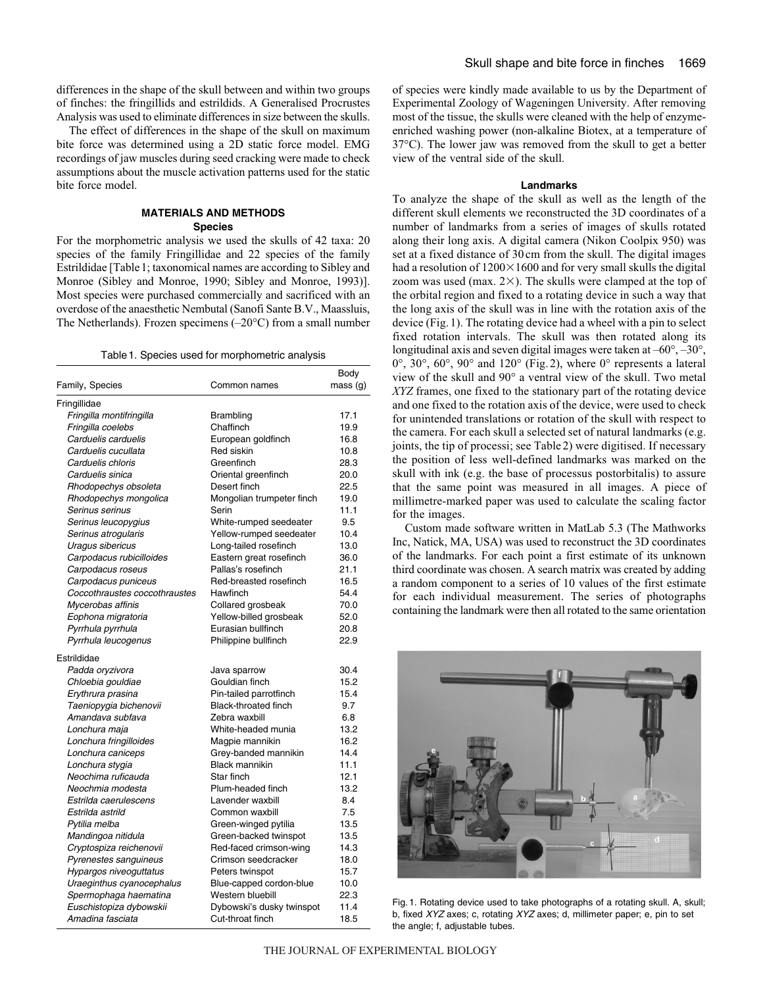differences in the shape of the skull between and within two groups of finches: the fringillids and estrildids. A Generalised Procrustes Analysis was used to eliminate differences in size between the skulls.

The effect of differences in the shape of the skull on maximum bite force was determined using a 2D static force model. EMG recordings of jaw muscles during seed cracking were made to check assumptions about the muscle activation patterns used for the static bite force model.

## **MATERIALS AND METHODS Species**

For the morphometric analysis we used the skulls of 42 taxa: 20 species of the family Fringillidae and 22 species of the family Estrildidae [Table1; taxonomical names are according to Sibley and Monroe (Sibley and Monroe, 1990; Sibley and Monroe, 1993)]. Most species were purchased commercially and sacrificed with an overdose of the anaesthetic Nembutal (Sanofi Sante B.V., Maassluis, The Netherlands). Frozen specimens (–20°C) from a small number

Table1. Species used for morphometric analysis

|                               |                             | Body                |  |
|-------------------------------|-----------------------------|---------------------|--|
| Family, Species               | Common names                | mass <sub>(g)</sub> |  |
| Fringillidae                  |                             |                     |  |
| Fringilla montifringilla      | Brambling                   | 17.1                |  |
| Fringilla coelebs             | Chaffinch                   | 19.9                |  |
| Carduelis carduelis           | European goldfinch          | 16.8                |  |
| Carduelis cucullata           | Red siskin                  | 10.8                |  |
| Carduelis chloris             | Greenfinch                  | 28.3                |  |
| Carduelis sinica              | Oriental greenfinch         | 20.0                |  |
| Rhodopechys obsoleta          | Desert finch                | 22.5                |  |
| Rhodopechys mongolica         | Mongolian trumpeter finch   | 19.0                |  |
| Serinus serinus               | Serin                       | 11.1                |  |
| Serinus leucopygius           | White-rumped seedeater      | 9.5                 |  |
| Serinus atrogularis           | Yellow-rumped seedeater     | 10.4                |  |
| Uragus sibericus              | Long-tailed rosefinch       | 13.0                |  |
| Carpodacus rubicilloides      | Eastern great rosefinch     | 36.0                |  |
| Carpodacus roseus             | Pallas's rosefinch          | 21.1                |  |
| Carpodacus puniceus           | Red-breasted rosefinch      | 16.5                |  |
| Coccothraustes coccothraustes | Hawfinch                    | 54.4                |  |
| Mycerobas affinis             | Collared grosbeak           | 70.0                |  |
| Eophona migratoria            | Yellow-billed grosbeak      | 52.0                |  |
| Pyrrhula pyrrhula             | Eurasian bullfinch          | 20.8                |  |
|                               | Philippine bullfinch        | 22.9                |  |
| Pyrrhula leucogenus           |                             |                     |  |
| Estrildidae                   |                             |                     |  |
| Padda oryzivora               | Java sparrow                | 30.4                |  |
| Chloebia gouldiae             | Gouldian finch              | 15.2                |  |
| Erythrura prasina             | Pin-tailed parrotfinch      | 15.4                |  |
| Taeniopygia bichenovii        | <b>Black-throated finch</b> | 9.7                 |  |
| Amandava subfava              | Zebra waxbill               | 6.8                 |  |
| Lonchura maja                 | White-headed munia          | 13.2                |  |
| Lonchura fringilloides        | Magpie mannikin             | 16.2                |  |
| Lonchura caniceps             | Grey-banded mannikin        | 14.4                |  |
| Lonchura stygia               | <b>Black mannikin</b>       | 11.1                |  |
| Neochima ruficauda            | Star finch                  | 12.1                |  |
| Neochmia modesta              | Plum-headed finch           | 13.2                |  |
| Estrilda caerulescens         | Lavender waxbill            | 8.4                 |  |
| Estrilda astrild              | Common waxbill              | 7.5                 |  |
| Pytilia melba                 | Green-winged pytilia        | 13.5                |  |
| Mandingoa nitidula            | Green-backed twinspot       | 13.5                |  |
| Cryptospiza reichenovii       | Red-faced crimson-wing      | 14.3                |  |
| Pyrenestes sanguineus         | Crimson seedcracker         | 18.0                |  |
| Hypargos niveoguttatus        | Peters twinspot             | 15.7                |  |
| Uraeginthus cyanocephalus     | Blue-capped cordon-blue     | 10.0                |  |
| Spermophaga haematina         | Western bluebill            | 22.3                |  |
| Euschistopiza dybowskii       | Dybowski's dusky twinspot   | 11.4                |  |
| Amadina fasciata              | Cut-throat finch            | 18.5                |  |

of species were kindly made available to us by the Department of Experimental Zoology of Wageningen University. After removing most of the tissue, the skulls were cleaned with the help of enzymeenriched washing power (non-alkaline Biotex, at a temperature of 37°C). The lower jaw was removed from the skull to get a better view of the ventral side of the skull.

## **Landmarks**

To analyze the shape of the skull as well as the length of the different skull elements we reconstructed the 3D coordinates of a number of landmarks from a series of images of skulls rotated along their long axis. A digital camera (Nikon Coolpix 950) was set at a fixed distance of 30cm from the skull. The digital images had a resolution of  $1200\times1600$  and for very small skulls the digital zoom was used (max.  $2\times$ ). The skulls were clamped at the top of the orbital region and fixed to a rotating device in such a way that the long axis of the skull was in line with the rotation axis of the device (Fig.1). The rotating device had a wheel with a pin to select fixed rotation intervals. The skull was then rotated along its longitudinal axis and seven digital images were taken at –60°, –30°, 0°, 30°, 60°, 90° and 120° (Fig.2), where 0° represents a lateral view of the skull and 90° a ventral view of the skull. Two metal *XYZ* frames, one fixed to the stationary part of the rotating device and one fixed to the rotation axis of the device, were used to check for unintended translations or rotation of the skull with respect to the camera. For each skull a selected set of natural landmarks (e.g. joints, the tip of processi; see Table2) were digitised. If necessary the position of less well-defined landmarks was marked on the skull with ink (e.g. the base of processus postorbitalis) to assure that the same point was measured in all images. A piece of millimetre-marked paper was used to calculate the scaling factor for the images.

Custom made software written in MatLab 5.3 (The Mathworks Inc, Natick, MA, USA) was used to reconstruct the 3D coordinates of the landmarks. For each point a first estimate of its unknown third coordinate was chosen. A search matrix was created by adding a random component to a series of 10 values of the first estimate for each individual measurement. The series of photographs containing the landmark were then all rotated to the same orientation



Fig. 1. Rotating device used to take photographs of a rotating skull. A, skull; b, fixed XYZ axes; c, rotating XYZ axes; d, millimeter paper; e, pin to set the angle; f, adjustable tubes.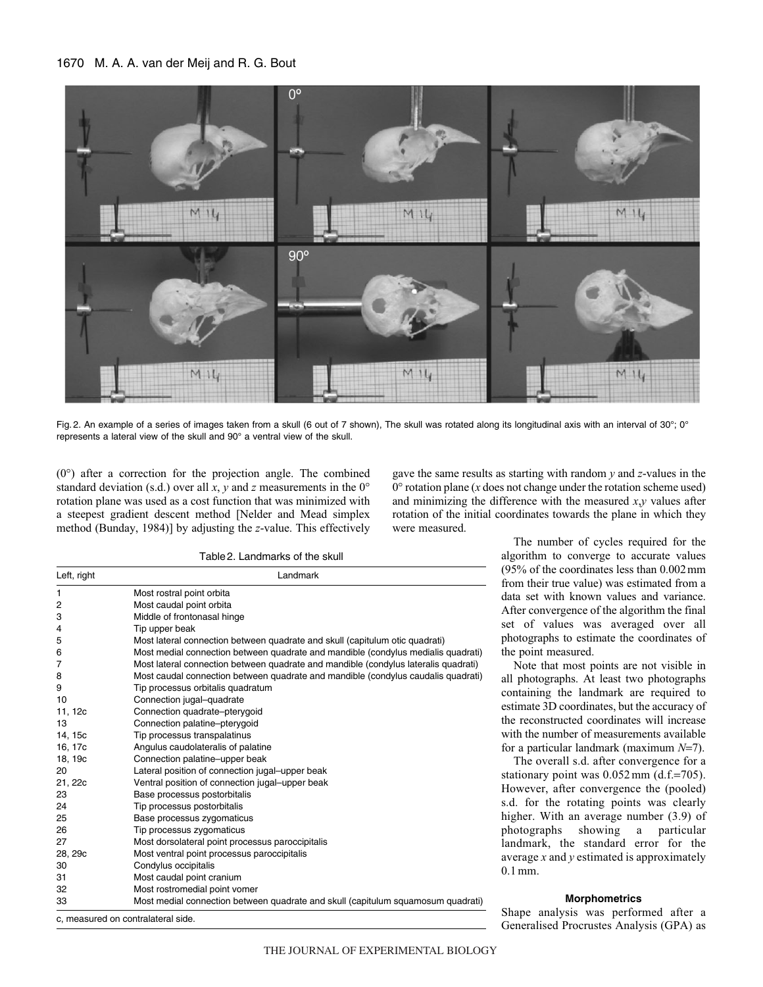

Fig. 2. An example of a series of images taken from a skull (6 out of 7 shown), The skull was rotated along its longitudinal axis with an interval of 30°; 0° represents a lateral view of the skull and 90° a ventral view of the skull.

(0°) after a correction for the projection angle. The combined standard deviation (s.d.) over all  $x$ ,  $y$  and  $z$  measurements in the  $0^{\circ}$ rotation plane was used as a cost function that was minimized with a steepest gradient descent method [Nelder and Mead simplex method (Bunday, 1984)] by adjusting the *z*-value. This effectively gave the same results as starting with random *y* and *z*-values in the  $0^{\circ}$  rotation plane (*x* does not change under the rotation scheme used) and minimizing the difference with the measured  $x, y$  values after rotation of the initial coordinates towards the plane in which they were measured.

Left, right Landmark 1 Most rostral point orbita 2 Most caudal point orbita 3 Middle of frontonasal hinge 4 Tip upper beak 5 Most lateral connection between quadrate and skull (capitulum otic quadrati) Most medial connection between quadrate and mandible (condylus medialis quadrati) 7 Most lateral connection between quadrate and mandible (condylus lateralis quadrati) 8 Most caudal connection between quadrate and mandible (condylus caudalis quadrati) 9 Tip processus orbitalis quadratum 10 Connection jugal–quadrate 11, 12c Connection quadrate–pterygoid 13 Connection palatine–pterygoid 14, 15c Tip processus transpalatinus 16, 17c Angulus caudolateralis of palatine 18, 19c Connection palatine–upper beak 20 Lateral position of connection jugal–upper beak 21, 22c Ventral position of connection jugal–upper beak 23 Base processus postorbitalis 24 Tip processus postorbitalis 25 Base processus zygomaticus Tip processus zygomaticus 27 Most dorsolateral point processus paroccipitalis 28, 29c Most ventral point processus paroccipitalis 30 Condylus occipitalis 31 Most caudal point cranium 32 Most rostromedial point vomer 33 Most medial connection between quadrate and skull (capitulum squamosum quadrati) c, measured on contralateral side.

Table2. Landmarks of the skull

The number of cycles required for the algorithm to converge to accurate values (95% of the coordinates less than 0.002mm from their true value) was estimated from a data set with known values and variance. After convergence of the algorithm the final set of values was averaged over all photographs to estimate the coordinates of the point measured.

Note that most points are not visible in all photographs. At least two photographs containing the landmark are required to estimate 3D coordinates, but the accuracy of the reconstructed coordinates will increase with the number of measurements available for a particular landmark (maximum *N*=7).

The overall s.d. after convergence for a stationary point was 0.052mm (d.f.=705). However, after convergence the (pooled) s.d. for the rotating points was clearly higher. With an average number (3.9) of photographs showing a particular landmark, the standard error for the average *x* and *y* estimated is approximately 0.1mm.

## **Morphometrics**

Shape analysis was performed after a Generalised Procrustes Analysis (GPA) as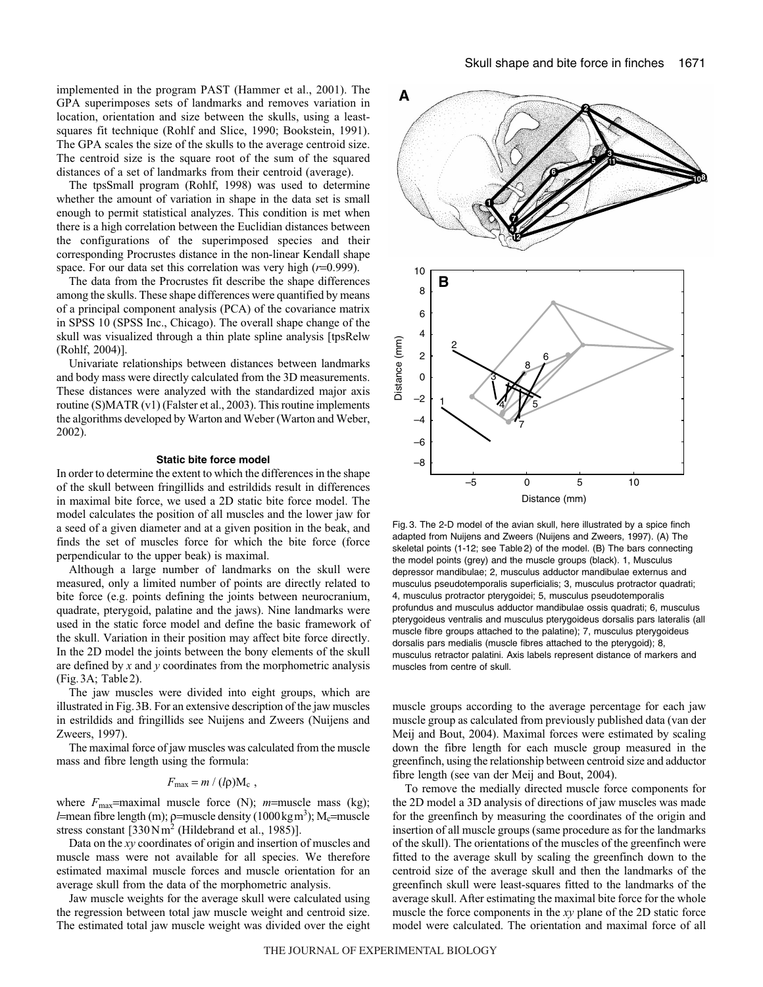implemented in the program PAST (Hammer et al., 2001). The GPA superimposes sets of landmarks and removes variation in location, orientation and size between the skulls, using a leastsquares fit technique (Rohlf and Slice, 1990; Bookstein, 1991). The GPA scales the size of the skulls to the average centroid size. The centroid size is the square root of the sum of the squared distances of a set of landmarks from their centroid (average).

The tpsSmall program (Rohlf, 1998) was used to determine whether the amount of variation in shape in the data set is small enough to permit statistical analyzes. This condition is met when there is a high correlation between the Euclidian distances between the configurations of the superimposed species and their corresponding Procrustes distance in the non-linear Kendall shape space. For our data set this correlation was very high ( $r=0.999$ ).

The data from the Procrustes fit describe the shape differences among the skulls. These shape differences were quantified by means of a principal component analysis (PCA) of the covariance matrix in SPSS 10 (SPSS Inc., Chicago). The overall shape change of the skull was visualized through a thin plate spline analysis [tpsRelw (Rohlf, 2004)].

Univariate relationships between distances between landmarks and body mass were directly calculated from the 3D measurements. These distances were analyzed with the standardized major axis routine (S)MATR (v1) (Falster et al., 2003). This routine implements the algorithms developed by Warton and Weber (Warton and Weber, 2002).

#### **Static bite force model**

In order to determine the extent to which the differences in the shape of the skull between fringillids and estrildids result in differences in maximal bite force, we used a 2D static bite force model. The model calculates the position of all muscles and the lower jaw for a seed of a given diameter and at a given position in the beak, and finds the set of muscles force for which the bite force (force perpendicular to the upper beak) is maximal.

Although a large number of landmarks on the skull were measured, only a limited number of points are directly related to bite force (e.g. points defining the joints between neurocranium, quadrate, pterygoid, palatine and the jaws). Nine landmarks were used in the static force model and define the basic framework of the skull. Variation in their position may affect bite force directly. In the 2D model the joints between the bony elements of the skull are defined by *x* and *y* coordinates from the morphometric analysis (Fig.3A; Table2).

The jaw muscles were divided into eight groups, which are illustrated in Fig.3B. For an extensive description of the jaw muscles in estrildids and fringillids see Nuijens and Zweers (Nuijens and Zweers, 1997).

The maximal force of jaw muscles was calculated from the muscle mass and fibre length using the formula:

$$
F_{\text{max}} = m / (l\rho)M_c,
$$

where  $F_{\text{max}}$ =maximal muscle force (N);  $m$ =muscle mass (kg); *l*=mean fibre length (m);  $\rho$ =muscle density (1000 kgm<sup>3</sup>); M<sub>c</sub>=muscle<br>stress constant [330 N m<sup>2</sup> (Hildebrand et al. 1985)] stress constant  $[330\,\mathrm{N\,m^2}$  (Hildebrand et al., 1985)].

Data on the *xy* coordinates of origin and insertion of muscles and muscle mass were not available for all species. We therefore estimated maximal muscle forces and muscle orientation for an average skull from the data of the morphometric analysis.

Jaw muscle weights for the average skull were calculated using the regression between total jaw muscle weight and centroid size. The estimated total jaw muscle weight was divided over the eight



Fig. 3. The 2-D model of the avian skull, here illustrated by a spice finch adapted from Nuijens and Zweers (Nuijens and Zweers, 1997). (A) The skeletal points (1-12; see Table 2) of the model. (B) The bars connecting the model points (grey) and the muscle groups (black). 1, Musculus depressor mandibulae; 2, musculus adductor mandibulae externus and musculus pseudotemporalis superficialis; 3, musculus protractor quadrati; 4, musculus protractor pterygoidei; 5, musculus pseudotemporalis profundus and musculus adductor mandibulae ossis quadrati; 6, musculus pterygoideus ventralis and musculus pterygoideus dorsalis pars lateralis (all muscle fibre groups attached to the palatine); 7, musculus pterygoideus dorsalis pars medialis (muscle fibres attached to the pterygoid); 8, musculus retractor palatini. Axis labels represent distance of markers and muscles from centre of skull.

muscle groups according to the average percentage for each jaw muscle group as calculated from previously published data (van der Meij and Bout, 2004). Maximal forces were estimated by scaling down the fibre length for each muscle group measured in the greenfinch, using the relationship between centroid size and adductor fibre length (see van der Meij and Bout, 2004).

To remove the medially directed muscle force components for the 2D model a 3D analysis of directions of jaw muscles was made for the greenfinch by measuring the coordinates of the origin and insertion of all muscle groups (same procedure as for the landmarks of the skull). The orientations of the muscles of the greenfinch were fitted to the average skull by scaling the greenfinch down to the centroid size of the average skull and then the landmarks of the greenfinch skull were least-squares fitted to the landmarks of the average skull. After estimating the maximal bite force for the whole muscle the force components in the *xy* plane of the 2D static force model were calculated. The orientation and maximal force of all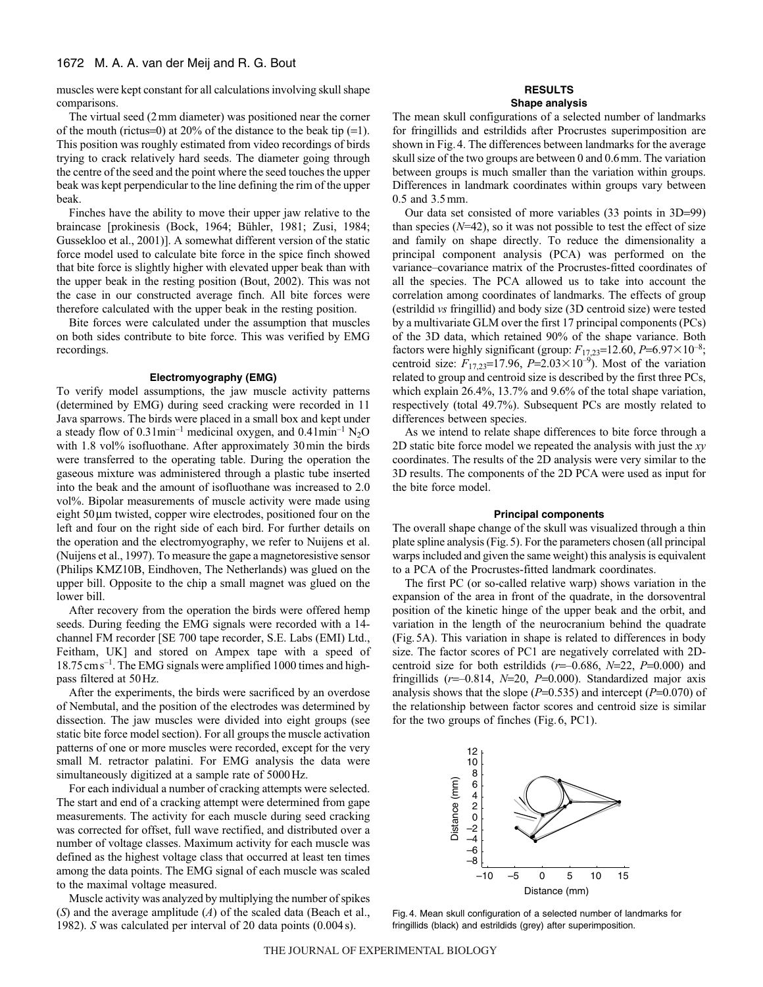muscles were kept constant for all calculations involving skull shape comparisons.

The virtual seed (2mm diameter) was positioned near the corner of the mouth (rictus=0) at 20% of the distance to the beak tip  $(=1)$ . This position was roughly estimated from video recordings of birds trying to crack relatively hard seeds. The diameter going through the centre of the seed and the point where the seed touches the upper beak was kept perpendicular to the line defining the rim of the upper beak.

Finches have the ability to move their upper jaw relative to the braincase [prokinesis (Bock, 1964; Bühler, 1981; Zusi, 1984; Gussekloo et al., 2001)]. A somewhat different version of the static force model used to calculate bite force in the spice finch showed that bite force is slightly higher with elevated upper beak than with the upper beak in the resting position (Bout, 2002). This was not the case in our constructed average finch. All bite forces were therefore calculated with the upper beak in the resting position.

Bite forces were calculated under the assumption that muscles on both sides contribute to bite force. This was verified by EMG recordings.

#### **Electromyography (EMG)**

To verify model assumptions, the jaw muscle activity patterns (determined by EMG) during seed cracking were recorded in 11 Java sparrows. The birds were placed in a small box and kept under a steady flow of  $0.31$ min<sup>-1</sup> medicinal oxygen, and  $0.41$ min<sup>-1</sup> N<sub>2</sub>O with 1.8 vol% isofluothane. After approximately 30min the birds were transferred to the operating table. During the operation the gaseous mixture was administered through a plastic tube inserted into the beak and the amount of isofluothane was increased to 2.0 vol%. Bipolar measurements of muscle activity were made using eight 50μm twisted, copper wire electrodes, positioned four on the left and four on the right side of each bird. For further details on the operation and the electromyography, we refer to Nuijens et al. (Nuijens et al., 1997). To measure the gape a magnetoresistive sensor (Philips KMZ10B, Eindhoven, The Netherlands) was glued on the upper bill. Opposite to the chip a small magnet was glued on the lower bill.

After recovery from the operation the birds were offered hemp seeds. During feeding the EMG signals were recorded with a 14 channel FM recorder [SE 700 tape recorder, S.E. Labs (EMI) Ltd., Feitham, UK] and stored on Ampex tape with a speed of 18.75cms–1. The EMG signals were amplified 1000 times and highpass filtered at 50Hz.

After the experiments, the birds were sacrificed by an overdose of Nembutal, and the position of the electrodes was determined by dissection. The jaw muscles were divided into eight groups (see static bite force model section). For all groups the muscle activation patterns of one or more muscles were recorded, except for the very small M. retractor palatini. For EMG analysis the data were simultaneously digitized at a sample rate of 5000 Hz.

For each individual a number of cracking attempts were selected. The start and end of a cracking attempt were determined from gape measurements. The activity for each muscle during seed cracking was corrected for offset, full wave rectified, and distributed over a number of voltage classes. Maximum activity for each muscle was defined as the highest voltage class that occurred at least ten times among the data points. The EMG signal of each muscle was scaled to the maximal voltage measured.

Muscle activity was analyzed by multiplying the number of spikes (*S*) and the average amplitude (*A*) of the scaled data (Beach et al., 1982). *S* was calculated per interval of 20 data points (0.004s).

## **RESULTS Shape analysis**

The mean skull configurations of a selected number of landmarks for fringillids and estrildids after Procrustes superimposition are shown in Fig.4. The differences between landmarks for the average skull size of the two groups are between 0 and 0.6mm. The variation between groups is much smaller than the variation within groups. Differences in landmark coordinates within groups vary between 0.5 and 3.5mm.

Our data set consisted of more variables (33 points in 3D=99) than species  $(N=42)$ , so it was not possible to test the effect of size and family on shape directly. To reduce the dimensionality a principal component analysis (PCA) was performed on the variance–covariance matrix of the Procrustes-fitted coordinates of all the species. The PCA allowed us to take into account the correlation among coordinates of landmarks. The effects of group (estrildid *vs* fringillid) and body size (3D centroid size) were tested by a multivariate GLM over the first 17 principal components (PCs) of the 3D data, which retained 90% of the shape variance. Both factors were highly significant (group:  $F_{17,23}=12.60$ ,  $P=6.97\times10^{-8}$ ;<br>centroid size:  $F_{17,23}=17.96$ ,  $P=2.03\times10^{-9}$ ). Most of the variation centroid size:  $F_{17,23}=17.96$ ,  $P=2.03\times10^{-9}$ ). Most of the variation related to group and centroid size is described by the first three PCs. related to group and centroid size is described by the first three PCs, which explain 26.4%, 13.7% and 9.6% of the total shape variation, respectively (total 49.7%). Subsequent PCs are mostly related to differences between species.

As we intend to relate shape differences to bite force through a 2D static bite force model we repeated the analysis with just the *xy* coordinates. The results of the 2D analysis were very similar to the 3D results. The components of the 2D PCA were used as input for the bite force model.

#### **Principal components**

The overall shape change of the skull was visualized through a thin plate spline analysis (Fig.5). For the parameters chosen (all principal warps included and given the same weight) this analysis is equivalent to a PCA of the Procrustes-fitted landmark coordinates.

The first PC (or so-called relative warp) shows variation in the expansion of the area in front of the quadrate, in the dorsoventral position of the kinetic hinge of the upper beak and the orbit, and variation in the length of the neurocranium behind the quadrate (Fig.5A). This variation in shape is related to differences in body size. The factor scores of PC1 are negatively correlated with 2Dcentroid size for both estrildids (*r*=–0.686, *N*=22, *P*=0.000) and fringillids (*r*=–0.814, *N*=20, *P*=0.000). Standardized major axis analysis shows that the slope (*P*=0.535) and intercept (*P*=0.070) of the relationship between factor scores and centroid size is similar for the two groups of finches (Fig.6, PC1).



Fig. 4. Mean skull configuration of a selected number of landmarks for fringillids (black) and estrildids (grey) after superimposition.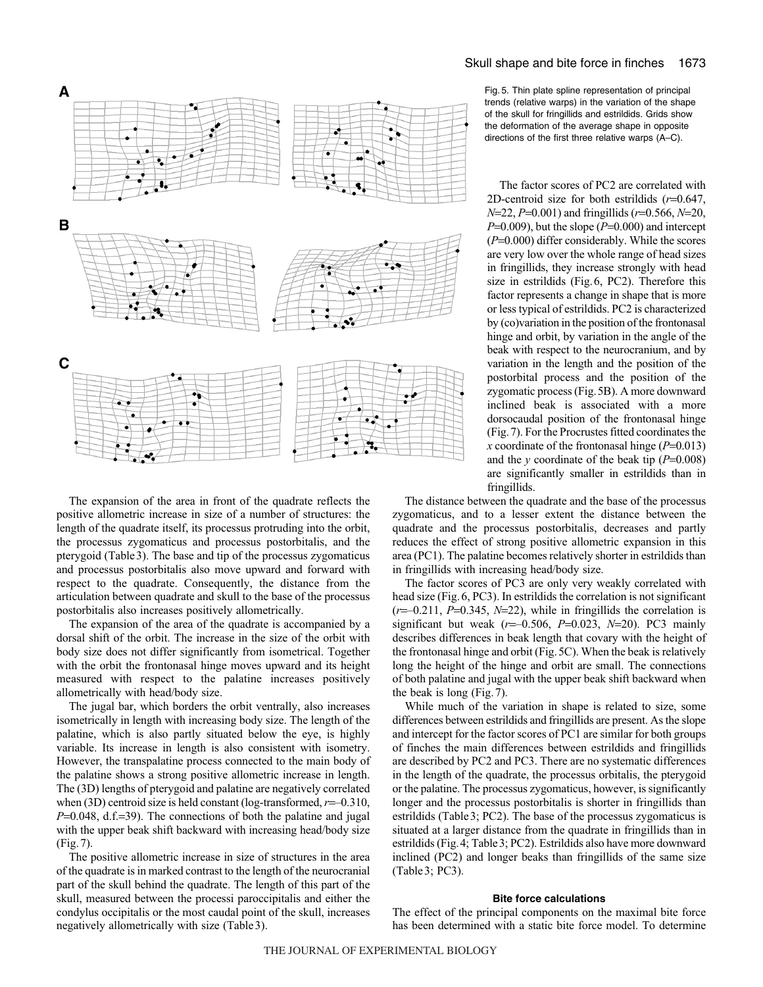

The expansion of the area in front of the quadrate reflects the positive allometric increase in size of a number of structures: the length of the quadrate itself, its processus protruding into the orbit, the processus zygomaticus and processus postorbitalis, and the pterygoid (Table3). The base and tip of the processus zygomaticus and processus postorbitalis also move upward and forward with respect to the quadrate. Consequently, the distance from the articulation between quadrate and skull to the base of the processus postorbitalis also increases positively allometrically.

The expansion of the area of the quadrate is accompanied by a dorsal shift of the orbit. The increase in the size of the orbit with body size does not differ significantly from isometrical. Together with the orbit the frontonasal hinge moves upward and its height measured with respect to the palatine increases positively allometrically with head/body size.

The jugal bar, which borders the orbit ventrally, also increases isometrically in length with increasing body size. The length of the palatine, which is also partly situated below the eye, is highly variable. Its increase in length is also consistent with isometry. However, the transpalatine process connected to the main body of the palatine shows a strong positive allometric increase in length. The (3D) lengths of pterygoid and palatine are negatively correlated when (3D) centroid size is held constant (log-transformed, *r*=–0.310, *P*=0.048, d.f.=39). The connections of both the palatine and jugal with the upper beak shift backward with increasing head/body size (Fig.7).

The positive allometric increase in size of structures in the area of the quadrate is in marked contrast to the length of the neurocranial part of the skull behind the quadrate. The length of this part of the skull, measured between the processi paroccipitalis and either the condylus occipitalis or the most caudal point of the skull, increases negatively allometrically with size (Table3).

Fig. 5. Thin plate spline representation of principal trends (relative warps) in the variation of the shape of the skull for fringillids and estrildids. Grids show the deformation of the average shape in opposite directions of the first three relative warps (A–C).

The factor scores of PC2 are correlated with 2D-centroid size for both estrildids (*r*=0.647, *N*=22, *P*=0.001) and fringillids (*r*=0.566, *N*=20,  $P=0.009$ , but the slope ( $P=0.000$ ) and intercept (*P*=0.000) differ considerably. While the scores are very low over the whole range of head sizes in fringillids, they increase strongly with head size in estrildids (Fig.6, PC2). Therefore this factor represents a change in shape that is more or less typical of estrildids. PC2 is characterized by (co)variation in the position of the frontonasal hinge and orbit, by variation in the angle of the beak with respect to the neurocranium, and by variation in the length and the position of the postorbital process and the position of the zygomatic process (Fig.5B). A more downward inclined beak is associated with a more dorsocaudal position of the frontonasal hinge (Fig.7). For the Procrustes fitted coordinates the *x* coordinate of the frontonasal hinge (*P*=0.013) and the *y* coordinate of the beak tip (*P*=0.008) are significantly smaller in estrildids than in fringillids.

The distance between the quadrate and the base of the processus zygomaticus, and to a lesser extent the distance between the quadrate and the processus postorbitalis, decreases and partly reduces the effect of strong positive allometric expansion in this area (PC1). The palatine becomes relatively shorter in estrildids than in fringillids with increasing head/body size.

The factor scores of PC3 are only very weakly correlated with head size (Fig.6, PC3). In estrildids the correlation is not significant  $(r=-0.211, P=0.345, N=22)$ , while in fringillids the correlation is significant but weak (*r*=–0.506, *P*=0.023, *N*=20). PC3 mainly describes differences in beak length that covary with the height of the frontonasal hinge and orbit (Fig.5C). When the beak is relatively long the height of the hinge and orbit are small. The connections of both palatine and jugal with the upper beak shift backward when the beak is long (Fig.7).

While much of the variation in shape is related to size, some differences between estrildids and fringillids are present. As the slope and intercept for the factor scores of PC1 are similar for both groups of finches the main differences between estrildids and fringillids are described by PC2 and PC3. There are no systematic differences in the length of the quadrate, the processus orbitalis, the pterygoid or the palatine. The processus zygomaticus, however, is significantly longer and the processus postorbitalis is shorter in fringillids than estrildids (Table3; PC2). The base of the processus zygomaticus is situated at a larger distance from the quadrate in fringillids than in estrildids (Fig.4; Table3; PC2). Estrildids also have more downward inclined (PC2) and longer beaks than fringillids of the same size (Table3; PC3).

## **Bite force calculations**

The effect of the principal components on the maximal bite force has been determined with a static bite force model. To determine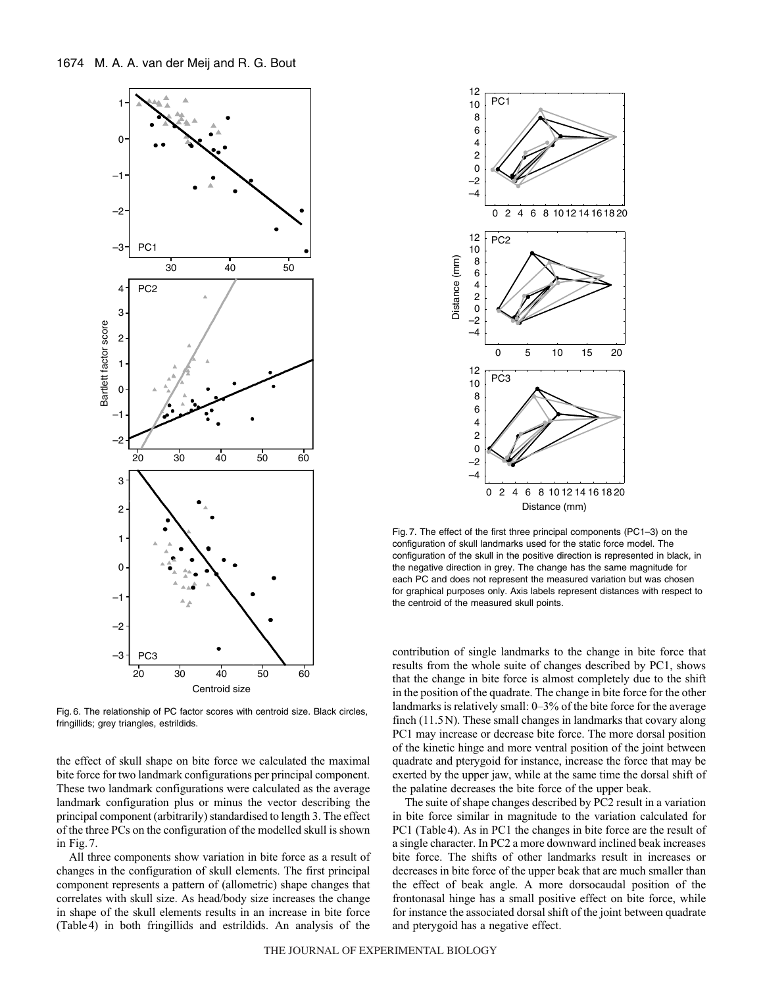

Fig. 6. The relationship of PC factor scores with centroid size. Black circles, fringillids; grey triangles, estrildids.

the effect of skull shape on bite force we calculated the maximal bite force for two landmark configurations per principal component. These two landmark configurations were calculated as the average landmark configuration plus or minus the vector describing the principal component (arbitrarily) standardised to length 3. The effect of the three PCs on the configuration of the modelled skull is shown in Fig.7.

All three components show variation in bite force as a result of changes in the configuration of skull elements. The first principal component represents a pattern of (allometric) shape changes that correlates with skull size. As head/body size increases the change in shape of the skull elements results in an increase in bite force (Table4) in both fringillids and estrildids. An analysis of the



Fig. 7. The effect of the first three principal components (PC1–3) on the configuration of skull landmarks used for the static force model. The configuration of the skull in the positive direction is represented in black, in the negative direction in grey. The change has the same magnitude for each PC and does not represent the measured variation but was chosen for graphical purposes only. Axis labels represent distances with respect to the centroid of the measured skull points.

contribution of single landmarks to the change in bite force that results from the whole suite of changes described by PC1, shows that the change in bite force is almost completely due to the shift in the position of the quadrate. The change in bite force for the other landmarks is relatively small: 0–3% of the bite force for the average finch (11.5N). These small changes in landmarks that covary along PC1 may increase or decrease bite force. The more dorsal position of the kinetic hinge and more ventral position of the joint between quadrate and pterygoid for instance, increase the force that may be exerted by the upper jaw, while at the same time the dorsal shift of the palatine decreases the bite force of the upper beak.

The suite of shape changes described by PC2 result in a variation in bite force similar in magnitude to the variation calculated for PC1 (Table4). As in PC1 the changes in bite force are the result of a single character. In PC2 a more downward inclined beak increases bite force. The shifts of other landmarks result in increases or decreases in bite force of the upper beak that are much smaller than the effect of beak angle. A more dorsocaudal position of the frontonasal hinge has a small positive effect on bite force, while for instance the associated dorsal shift of the joint between quadrate and pterygoid has a negative effect.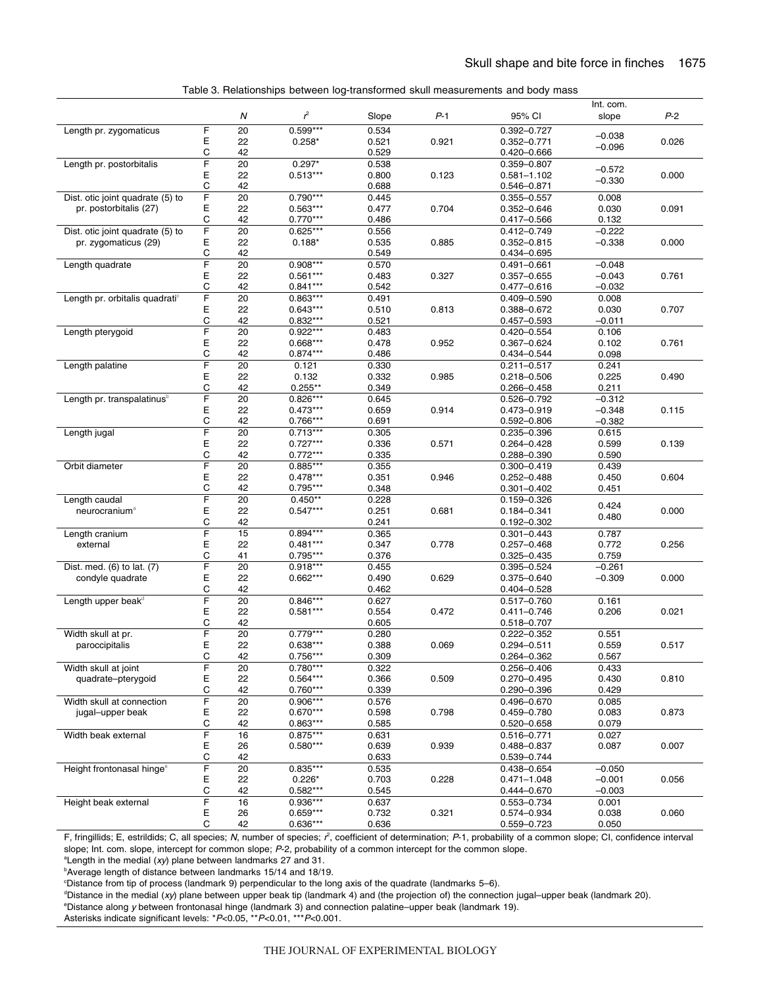|  | Table 3. Relationships between log-transformed skull measurements and body mass |  |  |
|--|---------------------------------------------------------------------------------|--|--|
|  |                                                                                 |  |  |

|                                            |             |                 |            |       |       | rabio of riolationships between log transierinea sital measuremente and bouy mass |           |       |
|--------------------------------------------|-------------|-----------------|------------|-------|-------|-----------------------------------------------------------------------------------|-----------|-------|
|                                            |             |                 |            |       |       |                                                                                   | Int. com. |       |
|                                            |             | Ν               | $r^2$      | Slope | $P-1$ | 95% CI                                                                            | slope     | P-2   |
| Length pr. zygomaticus                     | F           | 20              | $0.599***$ | 0.534 |       | 0.392-0.727                                                                       |           |       |
|                                            | Е           | 22              | $0.258*$   | 0.521 | 0.921 | 0.352-0.771                                                                       | $-0.038$  | 0.026 |
|                                            | С           | 42              |            | 0.529 |       | 0.420-0.666                                                                       | $-0.096$  |       |
| Length pr. postorbitalis                   | F           | 20              | $0.297*$   | 0.538 |       | 0.359-0.807                                                                       |           |       |
|                                            | Ε           | 22              | $0.513***$ | 0.800 | 0.123 | $0.581 - 1.102$                                                                   | $-0.572$  | 0.000 |
|                                            | C           | 42              |            | 0.688 |       | 0.546-0.871                                                                       | $-0.330$  |       |
| Dist. otic joint quadrate (5) to           | F           | 20              | $0.790***$ | 0.445 |       | 0.355-0.557                                                                       | 0.008     |       |
| pr. postorbitalis (27)                     | Е           | 22              | $0.563***$ | 0.477 | 0.704 | 0.352-0.646                                                                       | 0.030     | 0.091 |
|                                            | С           | 42              | $0.770***$ | 0.486 |       | 0.417-0.566                                                                       | 0.132     |       |
| Dist. otic joint quadrate (5) to           | F           | 20              | $0.625***$ | 0.556 |       | 0.412-0.749                                                                       | $-0.222$  |       |
| pr. zygomaticus (29)                       | Е           | 22              | $0.188*$   | 0.535 | 0.885 | $0.352 - 0.815$                                                                   | $-0.338$  | 0.000 |
|                                            | С           | 42              |            | 0.549 |       | 0.434-0.695                                                                       |           |       |
| Length quadrate                            | F           | 20              | $0.908***$ | 0.570 |       | $0.491 - 0.661$                                                                   | $-0.048$  |       |
|                                            | Е           | 22              | $0.561***$ | 0.483 | 0.327 | $0.357 - 0.655$                                                                   | $-0.043$  | 0.761 |
|                                            |             |                 |            |       |       |                                                                                   |           |       |
|                                            | С           | 42              | $0.841***$ | 0.542 |       | 0.477-0.616                                                                       | $-0.032$  |       |
| Length pr. orbitalis quadrati <sup>c</sup> | F           | 20              | $0.863***$ | 0.491 |       | $0.409 - 0.590$                                                                   | 0.008     |       |
|                                            | Е           | 22              | $0.643***$ | 0.510 | 0.813 | 0.388-0.672                                                                       | 0.030     | 0.707 |
|                                            | С           | 42              | $0.832***$ | 0.521 |       | $0.457 - 0.593$                                                                   | $-0.011$  |       |
| Length pterygoid                           | F           | 20              | $0.922***$ | 0.483 |       | $0.420 - 0.554$                                                                   | 0.106     |       |
|                                            | Е           | 22              | 0.668***   | 0.478 | 0.952 | $0.367 - 0.624$                                                                   | 0.102     | 0.761 |
|                                            | С           | 42              | $0.874***$ | 0.486 |       | $0.434 - 0.544$                                                                   | 0.098     |       |
| Length palatine                            | F           | 20              | 0.121      | 0.330 |       | $0.211 - 0.517$                                                                   | 0.241     |       |
|                                            | Е           | 22              | 0.132      | 0.332 | 0.985 | 0.218-0.506                                                                       | 0.225     | 0.490 |
|                                            | С           | 42              | $0.255**$  | 0.349 |       | $0.266 - 0.458$                                                                   | 0.211     |       |
| Length pr. transpalatinus <sup>b</sup>     | F           | 20              | $0.826***$ | 0.645 |       | 0.526-0.792                                                                       | $-0.312$  |       |
|                                            | Е           | 22              | $0.473***$ | 0.659 | 0.914 | 0.473-0.919                                                                       | $-0.348$  | 0.115 |
|                                            | С           | 42              | 0.766***   | 0.691 |       | 0.592-0.806                                                                       | $-0.382$  |       |
| Length jugal                               | F           | 20              | $0.713***$ | 0.305 |       | 0.235-0.396                                                                       | 0.615     |       |
|                                            | Е           | 22              | $0.727***$ | 0.336 | 0.571 | 0.264-0.428                                                                       | 0.599     | 0.139 |
|                                            | С           | 42              | $0.772***$ | 0.335 |       | 0.288-0.390                                                                       | 0.590     |       |
| Orbit diameter                             | F           | 20              | $0.885***$ | 0.355 |       | $0.300 - 0.419$                                                                   | 0.439     |       |
|                                            | Е           | 22              | $0.478***$ | 0.351 | 0.946 | $0.252 - 0.488$                                                                   | 0.450     | 0.604 |
|                                            | C           | 42              | 0.795***   | 0.348 |       | $0.301 - 0.402$                                                                   | 0.451     |       |
| Length caudal                              | F           | 20              | $0.450**$  | 0.228 |       | $0.159 - 0.326$                                                                   |           |       |
| neurocranium <sup>a</sup>                  | Е           | 22              | $0.547***$ | 0.251 | 0.681 | $0.184 - 0.341$                                                                   | 0.424     | 0.000 |
|                                            | С           | 42              |            | 0.241 |       | $0.192 - 0.302$                                                                   | 0.480     |       |
|                                            | F           |                 |            |       |       |                                                                                   |           |       |
| Length cranium                             |             | 15              | $0.894***$ | 0.365 |       | $0.301 - 0.443$                                                                   | 0.787     |       |
| external                                   | Ε           | 22              | $0.481***$ | 0.347 | 0.778 | $0.257 - 0.468$                                                                   | 0.772     | 0.256 |
|                                            | C           | 41              | 0.795***   | 0.376 |       | 0.325-0.435                                                                       | 0.759     |       |
| Dist. med. $(6)$ to lat. $(7)$             | F           | $\overline{20}$ | $0.918***$ | 0.455 |       | 0.395-0.524                                                                       | $-0.261$  |       |
| condyle quadrate                           | Ε           | 22              | 0.662***   | 0.490 | 0.629 | 0.375-0.640                                                                       | $-0.309$  | 0.000 |
|                                            | С           | 42              |            | 0.462 |       | 0.404-0.528                                                                       |           |       |
| Length upper beak $d$                      | F           | 20              | $0.846***$ | 0.627 |       | $0.517 - 0.760$                                                                   | 0.161     |       |
|                                            | Е           | 22              | $0.581***$ | 0.554 | 0.472 | $0.411 - 0.746$                                                                   | 0.206     | 0.021 |
|                                            | С           | 42              |            | 0.605 |       | 0.518-0.707                                                                       |           |       |
| Width skull at pr.                         | F           | 20              | $0.779***$ | 0.280 |       | $0.222 - 0.352$                                                                   | 0.551     |       |
| paroccipitalis                             | Е           | 22              | 0.638***   | 0.388 | 0.069 | $0.294 - 0.511$                                                                   | 0.559     | 0.517 |
|                                            | $\mathsf C$ | 42              | $0.756***$ | 0.309 |       | 0.264-0.362                                                                       | 0.567     |       |
| Width skull at joint                       | F           | 20              | $0.780***$ | 0.322 |       | $0.256 - 0.406$                                                                   | 0.433     |       |
| quadrate-pterygoid                         | Е           | 22              | $0.564***$ | 0.366 | 0.509 | 0.270-0.495                                                                       | 0.430     | 0.810 |
|                                            | C           | 42              | 0.760***   | 0.339 |       | 0.290-0.396                                                                       | 0.429     |       |
| Width skull at connection                  | F           | 20              | 0.906***   | 0.576 |       | 0.496-0.670                                                                       | 0.085     |       |
| jugal-upper beak                           | $\mathsf E$ | 22              | 0.670***   | 0.598 | 0.798 | 0.459-0.780                                                                       | 0.083     | 0.873 |
|                                            | С           | 42              | $0.863***$ | 0.585 |       | 0.520-0.658                                                                       | 0.079     |       |
| Width beak external                        | F           | 16              | $0.875***$ | 0.631 |       | 0.516-0.771                                                                       | 0.027     |       |
|                                            | Е           | 26              | 0.580***   | 0.639 | 0.939 | 0.488-0.837                                                                       | 0.087     | 0.007 |
|                                            | C           | 42              |            | 0.633 |       | 0.539-0.744                                                                       |           |       |
| Height frontonasal hinge <sup>®</sup>      | F           | $\overline{20}$ | $0.835***$ | 0.535 |       | 0.438-0.654                                                                       | $-0.050$  |       |
|                                            | Е           | 22              | $0.226*$   | 0.703 | 0.228 | $0.471 - 1.048$                                                                   | $-0.001$  | 0.056 |
|                                            | C           | 42              | $0.582***$ | 0.545 |       | 0.444-0.670                                                                       | $-0.003$  |       |
| Height beak external                       | F           | 16              | $0.936***$ |       |       | 0.553-0.734                                                                       |           |       |
|                                            |             |                 |            | 0.637 |       |                                                                                   | 0.001     |       |
|                                            | Ε           | 26              | $0.659***$ | 0.732 | 0.321 | 0.574-0.934                                                                       | 0.038     | 0.060 |
|                                            | $\mathsf C$ | 42              | $0.636***$ | 0.636 |       | 0.559-0.723                                                                       | 0.050     |       |

F, fringillids; E, estrildids; C, all species; N, number of species;  $r$ , coefficient of determination; P-1, probability of a common slope; CI, confidence interval slope; Int. com. slope, intercept for common slope; *P*-2, probability of a common intercept for the common slope.

a Length in the medial (*xy*) plane between landmarks 27 and 31.

<sup>b</sup>Average length of distance between landmarks 15/14 and 18/19.

c Distance from tip of process (landmark 9) perpendicular to the long axis of the quadrate (landmarks 5–6).

d Distance in the medial (*xy*) plane between upper beak tip (landmark 4) and (the projection of) the connection jugal–upper beak (landmark 20).

e Distance along *y* between frontonasal hinge (landmark 3) and connection palatine–upper beak (landmark 19).

Asterisks indicate significant levels: \**P*<0.05, \*\**P*<0.01, \*\*\**P*<0.001.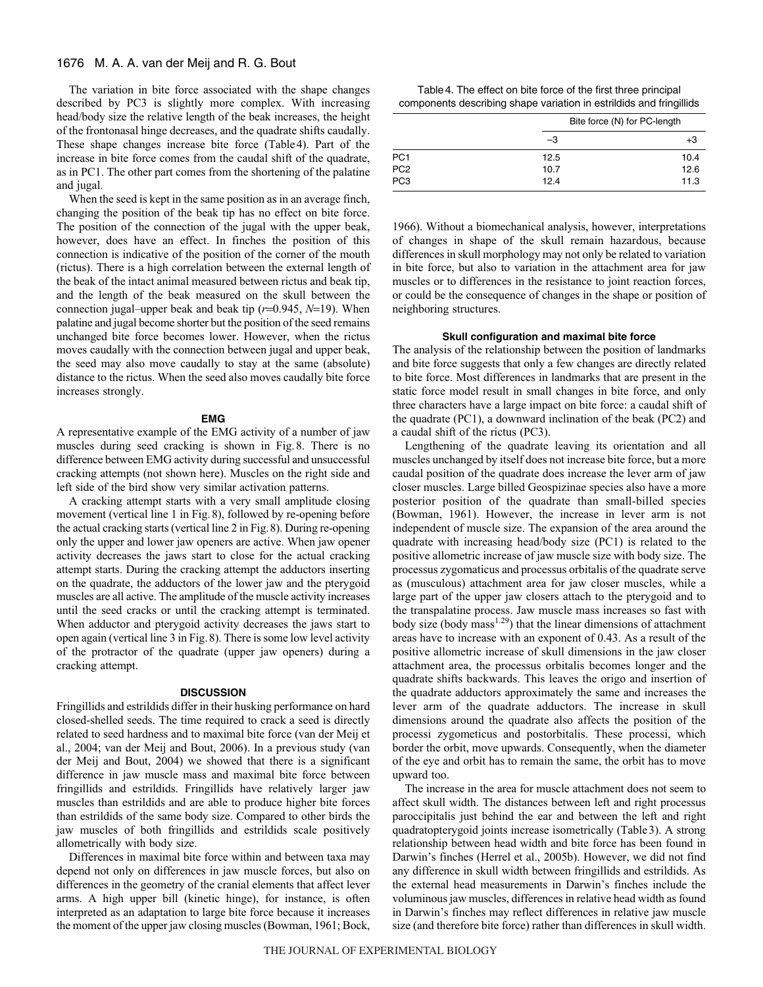## 1676 M. A. A. van der Meij and R. G. Bout

The variation in bite force associated with the shape changes described by PC3 is slightly more complex. With increasing head/body size the relative length of the beak increases, the height of the frontonasal hinge decreases, and the quadrate shifts caudally. These shape changes increase bite force (Table4). Part of the increase in bite force comes from the caudal shift of the quadrate, as in PC1. The other part comes from the shortening of the palatine and jugal.

When the seed is kept in the same position as in an average finch, changing the position of the beak tip has no effect on bite force. The position of the connection of the jugal with the upper beak, however, does have an effect. In finches the position of this connection is indicative of the position of the corner of the mouth (rictus). There is a high correlation between the external length of the beak of the intact animal measured between rictus and beak tip, and the length of the beak measured on the skull between the connection jugal–upper beak and beak tip (*r*=0.945, *N*=19). When palatine and jugal become shorter but the position of the seed remains unchanged bite force becomes lower. However, when the rictus moves caudally with the connection between jugal and upper beak, the seed may also move caudally to stay at the same (absolute) distance to the rictus. When the seed also moves caudally bite force increases strongly.

#### **EMG**

A representative example of the EMG activity of a number of jaw muscles during seed cracking is shown in Fig.8. There is no difference between EMG activity during successful and unsuccessful cracking attempts (not shown here). Muscles on the right side and left side of the bird show very similar activation patterns.

A cracking attempt starts with a very small amplitude closing movement (vertical line 1 in Fig.8), followed by re-opening before the actual cracking starts (vertical line 2 in Fig.8). During re-opening only the upper and lower jaw openers are active. When jaw opener activity decreases the jaws start to close for the actual cracking attempt starts. During the cracking attempt the adductors inserting on the quadrate, the adductors of the lower jaw and the pterygoid muscles are all active. The amplitude of the muscle activity increases until the seed cracks or until the cracking attempt is terminated. When adductor and pterygoid activity decreases the jaws start to open again (vertical line 3 in Fig.8). There is some low level activity of the protractor of the quadrate (upper jaw openers) during a cracking attempt.

#### **DISCUSSION**

Fringillids and estrildids differ in their husking performance on hard closed-shelled seeds. The time required to crack a seed is directly related to seed hardness and to maximal bite force (van der Meij et al., 2004; van der Meij and Bout, 2006). In a previous study (van der Meij and Bout, 2004) we showed that there is a significant difference in jaw muscle mass and maximal bite force between fringillids and estrildids. Fringillids have relatively larger jaw muscles than estrildids and are able to produce higher bite forces than estrildids of the same body size. Compared to other birds the jaw muscles of both fringillids and estrildids scale positively allometrically with body size.

Differences in maximal bite force within and between taxa may depend not only on differences in jaw muscle forces, but also on differences in the geometry of the cranial elements that affect lever arms. A high upper bill (kinetic hinge), for instance, is often interpreted as an adaptation to large bite force because it increases the moment of the upper jaw closing muscles (Bowman, 1961; Bock,

| Table 4. The effect on bite force of the first three principal      |  |  |
|---------------------------------------------------------------------|--|--|
| components describing shape variation in estrildids and fringillids |  |  |

|                   |      | Bite force (N) for PC-length |  |  |
|-------------------|------|------------------------------|--|--|
|                   | -3   | $+3$                         |  |  |
| PC1<br>PC2<br>PC3 | 12.5 | 10.4                         |  |  |
|                   | 10.7 | 12.6                         |  |  |
|                   | 12.4 | 11.3                         |  |  |

1966). Without a biomechanical analysis, however, interpretations of changes in shape of the skull remain hazardous, because differences in skull morphology may not only be related to variation in bite force, but also to variation in the attachment area for jaw muscles or to differences in the resistance to joint reaction forces, or could be the consequence of changes in the shape or position of neighboring structures.

## **Skull configuration and maximal bite force**

The analysis of the relationship between the position of landmarks and bite force suggests that only a few changes are directly related to bite force. Most differences in landmarks that are present in the static force model result in small changes in bite force, and only three characters have a large impact on bite force: a caudal shift of the quadrate (PC1), a downward inclination of the beak (PC2) and a caudal shift of the rictus (PC3).

Lengthening of the quadrate leaving its orientation and all muscles unchanged by itself does not increase bite force, but a more caudal position of the quadrate does increase the lever arm of jaw closer muscles. Large billed Geospizinae species also have a more posterior position of the quadrate than small-billed species (Bowman, 1961). However, the increase in lever arm is not independent of muscle size. The expansion of the area around the quadrate with increasing head/body size (PC1) is related to the positive allometric increase of jaw muscle size with body size. The processus zygomaticus and processus orbitalis of the quadrate serve as (musculous) attachment area for jaw closer muscles, while a large part of the upper jaw closers attach to the pterygoid and to the transpalatine process. Jaw muscle mass increases so fast with body size (body mass $1.29$ ) that the linear dimensions of attachment areas have to increase with an exponent of 0.43. As a result of the positive allometric increase of skull dimensions in the jaw closer attachment area, the processus orbitalis becomes longer and the quadrate shifts backwards. This leaves the origo and insertion of the quadrate adductors approximately the same and increases the lever arm of the quadrate adductors. The increase in skull dimensions around the quadrate also affects the position of the processi zygometicus and postorbitalis. These processi, which border the orbit, move upwards. Consequently, when the diameter of the eye and orbit has to remain the same, the orbit has to move upward too.

The increase in the area for muscle attachment does not seem to affect skull width. The distances between left and right processus paroccipitalis just behind the ear and between the left and right quadratopterygoid joints increase isometrically (Table3). A strong relationship between head width and bite force has been found in Darwin's finches (Herrel et al., 2005b). However, we did not find any difference in skull width between fringillids and estrildids. As the external head measurements in Darwin's finches include the voluminous jaw muscles, differences in relative head width as found in Darwin's finches may reflect differences in relative jaw muscle size (and therefore bite force) rather than differences in skull width.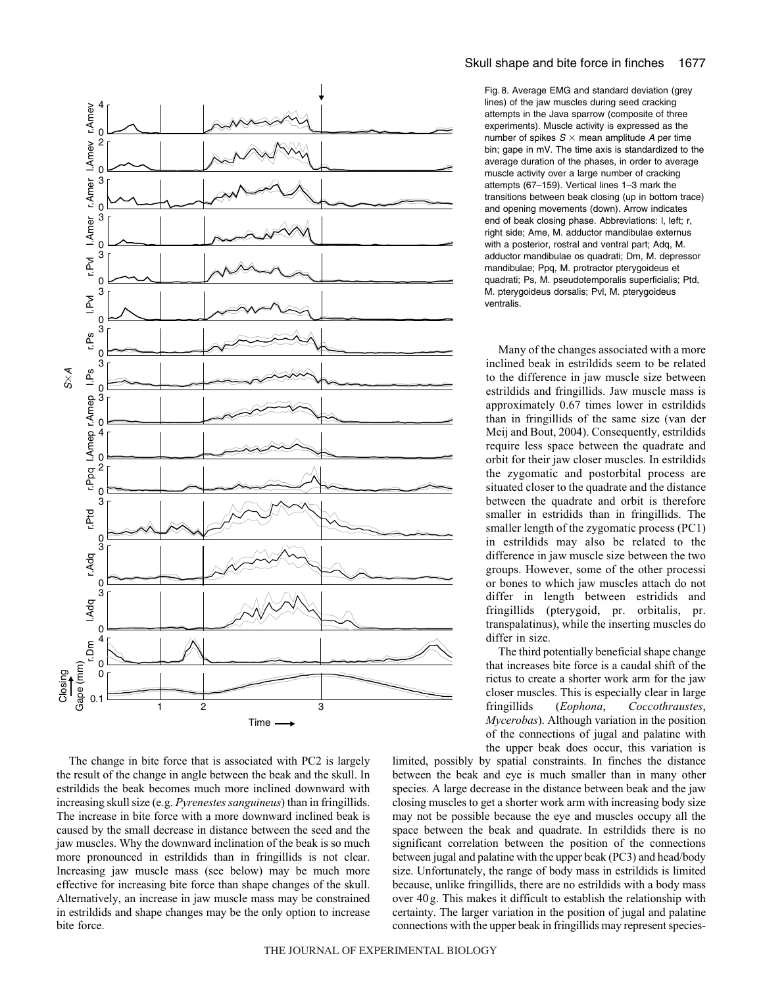

The change in bite force that is associated with PC2 is largely the result of the change in angle between the beak and the skull. In estrildids the beak becomes much more inclined downward with increasing skull size (e.g. *Pyrenestes sanguineus*) than in fringillids. The increase in bite force with a more downward inclined beak is caused by the small decrease in distance between the seed and the jaw muscles. Why the downward inclination of the beak is so much more pronounced in estrildids than in fringillids is not clear. Increasing jaw muscle mass (see below) may be much more effective for increasing bite force than shape changes of the skull. Alternatively, an increase in jaw muscle mass may be constrained in estrildids and shape changes may be the only option to increase bite force.

Fig. 8. Average EMG and standard deviation (grey lines) of the jaw muscles during seed cracking attempts in the Java sparrow (composite of three experiments). Muscle activity is expressed as the number of spikes  $S\times$  mean amplitude A per time bin; gape in mV. The time axis is standardized to the average duration of the phases, in order to average muscle activity over a large number of cracking attempts (67–159). Vertical lines 1–3 mark the transitions between beak closing (up in bottom trace) and opening movements (down). Arrow indicates end of beak closing phase. Abbreviations: l, left; r, right side; Ame, M. adductor mandibulae externus with a posterior, rostral and ventral part; Adq, M. adductor mandibulae os quadrati; Dm, M. depressor mandibulae; Ppq, M. protractor pterygoideus et quadrati; Ps, M. pseudotemporalis superficialis; Ptd, M. pterygoideus dorsalis; Pvl, M. pterygoideus ventralis.

Many of the changes associated with a more inclined beak in estrildids seem to be related to the difference in jaw muscle size between estrildids and fringillids. Jaw muscle mass is approximately 0.67 times lower in estrildids than in fringillids of the same size (van der Meij and Bout, 2004). Consequently, estrildids require less space between the quadrate and orbit for their jaw closer muscles. In estrildids the zygomatic and postorbital process are situated closer to the quadrate and the distance between the quadrate and orbit is therefore smaller in estridids than in fringillids. The smaller length of the zygomatic process (PC1) in estrildids may also be related to the difference in jaw muscle size between the two groups. However, some of the other processi or bones to which jaw muscles attach do not differ in length between estridids and fringillids (pterygoid, pr. orbitalis, pr. transpalatinus), while the inserting muscles do differ in size.

The third potentially beneficial shape change that increases bite force is a caudal shift of the rictus to create a shorter work arm for the jaw closer muscles. This is especially clear in large fringillids (*Eophona*, *Coccothraustes*, *Mycerobas*). Although variation in the position of the connections of jugal and palatine with the upper beak does occur, this variation is

limited, possibly by spatial constraints. In finches the distance between the beak and eye is much smaller than in many other species. A large decrease in the distance between beak and the jaw closing muscles to get a shorter work arm with increasing body size may not be possible because the eye and muscles occupy all the space between the beak and quadrate. In estrildids there is no significant correlation between the position of the connections between jugal and palatine with the upper beak (PC3) and head/body size. Unfortunately, the range of body mass in estrildids is limited because, unlike fringillids, there are no estrildids with a body mass over 40g. This makes it difficult to establish the relationship with certainty. The larger variation in the position of jugal and palatine connections with the upper beak in fringillids may represent species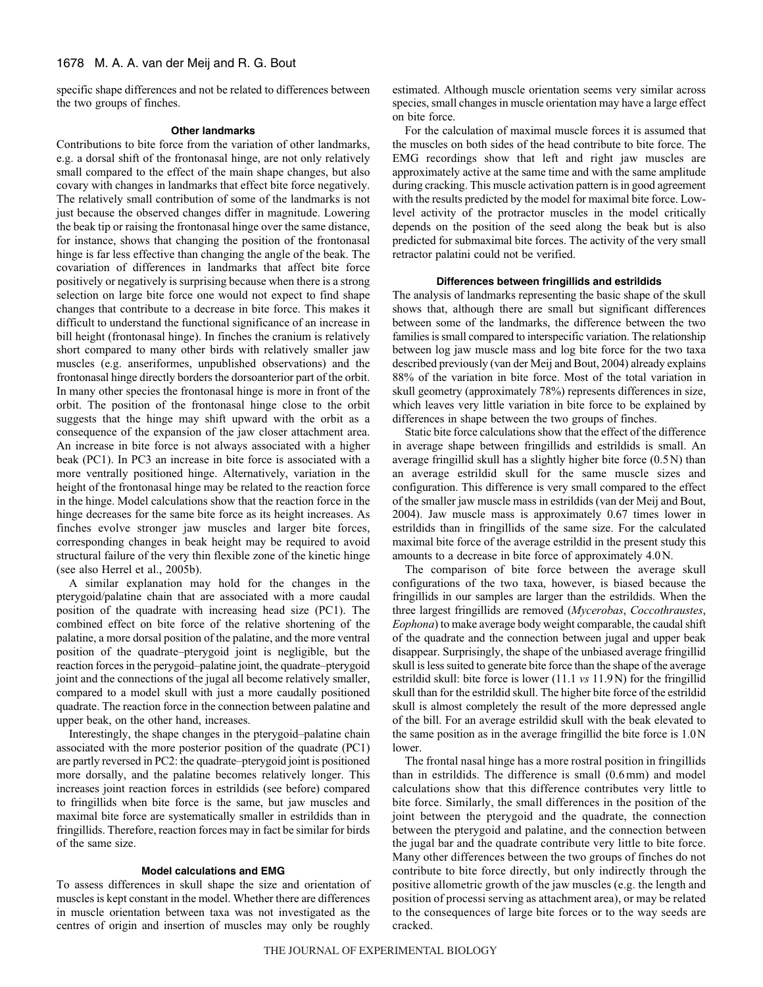specific shape differences and not be related to differences between the two groups of finches.

#### **Other landmarks**

Contributions to bite force from the variation of other landmarks, e.g. a dorsal shift of the frontonasal hinge, are not only relatively small compared to the effect of the main shape changes, but also covary with changes in landmarks that effect bite force negatively. The relatively small contribution of some of the landmarks is not just because the observed changes differ in magnitude. Lowering the beak tip or raising the frontonasal hinge over the same distance, for instance, shows that changing the position of the frontonasal hinge is far less effective than changing the angle of the beak. The covariation of differences in landmarks that affect bite force positively or negatively is surprising because when there is a strong selection on large bite force one would not expect to find shape changes that contribute to a decrease in bite force. This makes it difficult to understand the functional significance of an increase in bill height (frontonasal hinge). In finches the cranium is relatively short compared to many other birds with relatively smaller jaw muscles (e.g. anseriformes, unpublished observations) and the frontonasal hinge directly borders the dorsoanterior part of the orbit. In many other species the frontonasal hinge is more in front of the orbit. The position of the frontonasal hinge close to the orbit suggests that the hinge may shift upward with the orbit as a consequence of the expansion of the jaw closer attachment area. An increase in bite force is not always associated with a higher beak (PC1). In PC3 an increase in bite force is associated with a more ventrally positioned hinge. Alternatively, variation in the height of the frontonasal hinge may be related to the reaction force in the hinge. Model calculations show that the reaction force in the hinge decreases for the same bite force as its height increases. As finches evolve stronger jaw muscles and larger bite forces, corresponding changes in beak height may be required to avoid structural failure of the very thin flexible zone of the kinetic hinge (see also Herrel et al., 2005b).

A similar explanation may hold for the changes in the pterygoid/palatine chain that are associated with a more caudal position of the quadrate with increasing head size (PC1). The combined effect on bite force of the relative shortening of the palatine, a more dorsal position of the palatine, and the more ventral position of the quadrate–pterygoid joint is negligible, but the reaction forces in the perygoid–palatine joint, the quadrate–pterygoid joint and the connections of the jugal all become relatively smaller, compared to a model skull with just a more caudally positioned quadrate. The reaction force in the connection between palatine and upper beak, on the other hand, increases.

Interestingly, the shape changes in the pterygoid–palatine chain associated with the more posterior position of the quadrate (PC1) are partly reversed in PC2: the quadrate–pterygoid joint is positioned more dorsally, and the palatine becomes relatively longer. This increases joint reaction forces in estrildids (see before) compared to fringillids when bite force is the same, but jaw muscles and maximal bite force are systematically smaller in estrildids than in fringillids. Therefore, reaction forces may in fact be similar for birds of the same size.

#### **Model calculations and EMG**

To assess differences in skull shape the size and orientation of muscles is kept constant in the model. Whether there are differences in muscle orientation between taxa was not investigated as the centres of origin and insertion of muscles may only be roughly estimated. Although muscle orientation seems very similar across species, small changes in muscle orientation may have a large effect on bite force.

For the calculation of maximal muscle forces it is assumed that the muscles on both sides of the head contribute to bite force. The EMG recordings show that left and right jaw muscles are approximately active at the same time and with the same amplitude during cracking. This muscle activation pattern is in good agreement with the results predicted by the model for maximal bite force. Lowlevel activity of the protractor muscles in the model critically depends on the position of the seed along the beak but is also predicted for submaximal bite forces. The activity of the very small retractor palatini could not be verified.

## **Differences between fringillids and estrildids**

The analysis of landmarks representing the basic shape of the skull shows that, although there are small but significant differences between some of the landmarks, the difference between the two families is small compared to interspecific variation. The relationship between log jaw muscle mass and log bite force for the two taxa described previously (van der Meij and Bout, 2004) already explains 88% of the variation in bite force. Most of the total variation in skull geometry (approximately 78%) represents differences in size, which leaves very little variation in bite force to be explained by differences in shape between the two groups of finches.

Static bite force calculations show that the effect of the difference in average shape between fringillids and estrildids is small. An average fringillid skull has a slightly higher bite force (0.5N) than an average estrildid skull for the same muscle sizes and configuration. This difference is very small compared to the effect of the smaller jaw muscle mass in estrildids (van der Meij and Bout, 2004). Jaw muscle mass is approximately 0.67 times lower in estrildids than in fringillids of the same size. For the calculated maximal bite force of the average estrildid in the present study this amounts to a decrease in bite force of approximately 4.0N.

The comparison of bite force between the average skull configurations of the two taxa, however, is biased because the fringillids in our samples are larger than the estrildids. When the three largest fringillids are removed (*Mycerobas*, *Coccothraustes*, *Eophona*) to make average body weight comparable, the caudal shift of the quadrate and the connection between jugal and upper beak disappear. Surprisingly, the shape of the unbiased average fringillid skull is less suited to generate bite force than the shape of the average estrildid skull: bite force is lower (11.1 *vs* 11.9N) for the fringillid skull than for the estrildid skull. The higher bite force of the estrildid skull is almost completely the result of the more depressed angle of the bill. For an average estrildid skull with the beak elevated to the same position as in the average fringillid the bite force is 1.0N lower.

The frontal nasal hinge has a more rostral position in fringillids than in estrildids. The difference is small (0.6 mm) and model calculations show that this difference contributes very little to bite force. Similarly, the small differences in the position of the joint between the pterygoid and the quadrate, the connection between the pterygoid and palatine, and the connection between the jugal bar and the quadrate contribute very little to bite force. Many other differences between the two groups of finches do not contribute to bite force directly, but only indirectly through the positive allometric growth of the jaw muscles (e.g. the length and position of processi serving as attachment area), or may be related to the consequences of large bite forces or to the way seeds are cracked.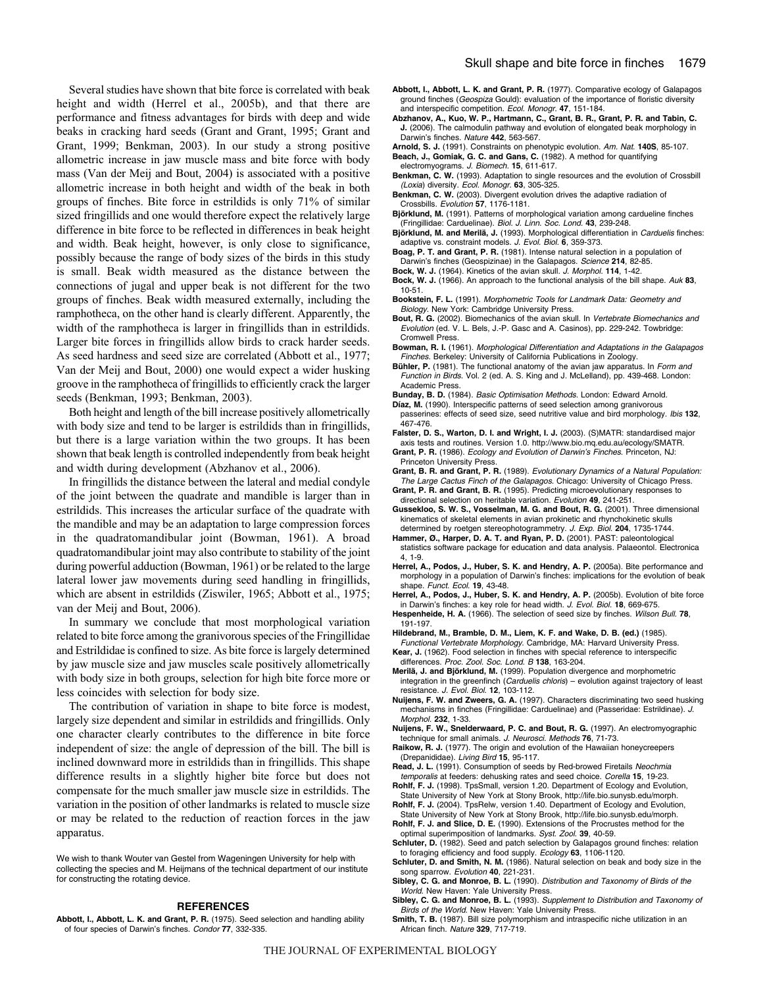Several studies have shown that bite force is correlated with beak height and width (Herrel et al., 2005b), and that there are performance and fitness advantages for birds with deep and wide beaks in cracking hard seeds (Grant and Grant, 1995; Grant and Grant, 1999; Benkman, 2003). In our study a strong positive allometric increase in jaw muscle mass and bite force with body mass (Van der Meij and Bout, 2004) is associated with a positive allometric increase in both height and width of the beak in both groups of finches. Bite force in estrildids is only 71% of similar sized fringillids and one would therefore expect the relatively large difference in bite force to be reflected in differences in beak height and width. Beak height, however, is only close to significance, possibly because the range of body sizes of the birds in this study is small. Beak width measured as the distance between the connections of jugal and upper beak is not different for the two groups of finches. Beak width measured externally, including the ramphotheca, on the other hand is clearly different. Apparently, the width of the ramphotheca is larger in fringillids than in estrildids. Larger bite forces in fringillids allow birds to crack harder seeds. As seed hardness and seed size are correlated (Abbott et al., 1977; Van der Meij and Bout, 2000) one would expect a wider husking groove in the ramphotheca of fringillids to efficiently crack the larger seeds (Benkman, 1993; Benkman, 2003).

Both height and length of the bill increase positively allometrically with body size and tend to be larger is estrildids than in fringillids, but there is a large variation within the two groups. It has been shown that beak length is controlled independently from beak height and width during development (Abzhanov et al., 2006).

In fringillids the distance between the lateral and medial condyle of the joint between the quadrate and mandible is larger than in estrildids. This increases the articular surface of the quadrate with the mandible and may be an adaptation to large compression forces in the quadratomandibular joint (Bowman, 1961). A broad quadratomandibular joint may also contribute to stability of the joint during powerful adduction (Bowman, 1961) or be related to the large lateral lower jaw movements during seed handling in fringillids, which are absent in estrildids (Ziswiler, 1965; Abbott et al., 1975; van der Meij and Bout, 2006).

In summary we conclude that most morphological variation related to bite force among the granivorous species of the Fringillidae and Estrildidae is confined to size. As bite force is largely determined by jaw muscle size and jaw muscles scale positively allometrically with body size in both groups, selection for high bite force more or less coincides with selection for body size.

The contribution of variation in shape to bite force is modest, largely size dependent and similar in estrildids and fringillids. Only one character clearly contributes to the difference in bite force independent of size: the angle of depression of the bill. The bill is inclined downward more in estrildids than in fringillids. This shape difference results in a slightly higher bite force but does not compensate for the much smaller jaw muscle size in estrildids. The variation in the position of other landmarks is related to muscle size or may be related to the reduction of reaction forces in the jaw apparatus.

We wish to thank Wouter van Gestel from Wageningen University for help with collecting the species and M. Heijmans of the technical department of our institute for constructing the rotating device.

#### **REFERENCES**

**Abbott, I., Abbott, L. K. and Grant, P. R.** (1975). Seed selection and handling ability of four species of Darwin's finches. Condor **77**, 332-335.

- **Abbott, I., Abbott, L. K. and Grant, P. R.** (1977). Comparative ecology of Galapagos ground finches (Geospiza Gould): evaluation of the importance of floristic diversity and interspecific competition. Ecol. Monogr. **47**, 151-184.
- **Abzhanov, A., Kuo, W. P., Hartmann, C., Grant, B. R., Grant, P. R. and Tabin, C. J.** (2006). The calmodulin pathway and evolution of elongated beak morphology in Darwin's finches. Nature **442**, 563-567.

**Arnold, S. J.** (1991). Constraints on phenotypic evolution. Am. Nat. **140S**, 85-107. **Beach, J., Gomiak, G. C. and Gans, C.** (1982). A method for quantifying electromyograms. J. Biomech. **15**, 611-617.

**Benkman, C. W.** (1993). Adaptation to single resources and the evolution of Crossbill (Loxia) diversity. Ecol. Monogr. **63**, 305-325.

**Benkman, C. W.** (2003). Divergent evolution drives the adaptive radiation of Crossbills. Evolution **57**, 1176-1181.

**Björklund, M.** (1991). Patterns of morphological variation among cardueline finches (Fringillidae: Carduelinae). Biol. J. Linn. Soc. Lond. **43**, 239-248.

**Björklund, M. and Merilä, J.** (1993). Morphological differentiation in Carduelis finches: adaptive vs. constraint models. J. Evol. Biol. **6**, 359-373.

**Boag, P. T. and Grant, P. R.** (1981). Intense natural selection in a population of Darwin's finches (Geospizinae) in the Galapagos. Science **214**, 82-85.

**Bock, W. J.** (1964). Kinetics of the avian skull. J. Morphol. **114**, 1-42.

**Bock, W. J.** (1966). An approach to the functional analysis of the bill shape. Auk **83**, 10-51.

**Bookstein, F. L.** (1991). Morphometric Tools for Landmark Data: Geometry and Biology. New York: Cambridge University Press.

**Bout, R. G.** (2002). Biomechanics of the avian skull. In Vertebrate Biomechanics and Evolution (ed. V. L. Bels, J.-P. Gasc and A. Casinos), pp. 229-242. Towbridge: Cromwell Press.

**Bowman, R. I.** (1961). Morphological Differentiation and Adaptations in the Galapagos Finches. Berkeley: University of California Publications in Zoology.

**Bühler, P.** (1981). The functional anatomy of the avian jaw apparatus. In Form and Function in Birds. Vol. 2 (ed. A. S. King and J. McLelland), pp. 439-468. London: Academic Press.

**Bunday, B. D.** (1984). Basic Optimisation Methods. London: Edward Arnold.

**Díaz, M.** (1990). Interspecific patterns of seed selection among granivorous passerines: effects of seed size, seed nutritive value and bird morphology. Ibis **132**, .<br>467-476

**Falster, D. S., Warton, D. I. and Wright, I. J.** (2003). (S)MATR: standardised major

axis tests and routines. Version 1.0. http://www.bio.mq.edu.au/ecology/SMATR. **Grant, P. R.** (1986). Ecology and Evolution of Darwin's Finches. Princeton, NJ: Princeton University Press.

**Grant, B. R. and Grant, P. R.** (1989). Evolutionary Dynamics of a Natural Population: The Large Cactus Finch of the Galapagos. Chicago: University of Chicago Press.

**Grant, P. R. and Grant, B. R.** (1995). Predicting microevolutionary responses to directional selection on heritable variation. Evolution **49**, 241-251.

**Gussekloo, S. W. S., Vosselman, M. G. and Bout, R. G.** (2001). Three dimensional kinematics of skeletal elements in avian prokinetic and rhynchokinetic skulls determined by roetgen stereophotogrammetry. J. Exp. Biol. **204**, 1735-1744.

**Hammer, Ø., Harper, D. A. T. and Ryan, P. D.** (2001). PAST: paleontological statistics software package for education and data analysis. Palaeontol. Electronica 4, 1-9.

**Herrel, A., Podos, J., Huber, S. K. and Hendry, A. P.** (2005a). Bite performance and morphology in a population of Darwin's finches: implications for the evolution of beak shape. Funct. Ecol. **19**, 43-48.

**Herrel, A., Podos, J., Huber, S. K. and Hendry, A. P.** (2005b). Evolution of bite force in Darwin's finches: a key role for head width. J. Evol. Biol. **18**, 669-675.

**Hespenheide, H. A.** (1966). The selection of seed size by finches. Wilson Bull. **78**,

191-197. **Hildebrand, M., Bramble, D. M., Liem, K. F. and Wake, D. B. (ed.)** (1985).

Functional Vertebrate Morphology. Cambridge, MA: Harvard University Press. **Kear, J.** (1962). Food selection in finches with special reference to interspecific

differences. Proc. Zool. Soc. Lond. B **138**, 163-204. **Merilä, J. and Björklund, M.** (1999). Population divergence and morphometric

integration in the greenfinch (Carduelis chloris) – evolution against trajectory of least resistance. J. Evol. Biol. **12**, 103-112.

**Nuijens, F. W. and Zweers, G. A.** (1997). Characters discriminating two seed husking mechanisms in finches (Fringillidae: Carduelinae) and (Passeridae: Estrildinae). J. Morphol. **232**, 1-33.

**Nuijens, F. W., Snelderwaard, P. C. and Bout, R. G.** (1997). An electromyographic technique for small animals. J. Neurosci. Methods **76**, 71-73.

**Raikow, R. J.** (1977). The origin and evolution of the Hawaiian honeycreepers (Drepanididae). Living Bird **15**, 95-117.

Read, J. L. (1991). Consumption of seeds by Red-browed Firetails Neochmia temporalis at feeders: dehusking rates and seed choice. Corella **15**, 19-23.

**Rohlf, F. J.** (1998). TpsSmall, version 1.20. Department of Ecology and Evolution, State University of New York at Stony Brook, http://life.bio.sunysb.edu/morph.

**Rohlf, F. J.** (2004). TpsRelw, version 1.40. Department of Ecology and Evolution, State University of New York at Stony Brook, http://life.bio.sunysb.edu/morph.

**Rohlf, F. J. and Slice, D. E.** (1990). Extensions of the Procrustes method for the optimal superimposition of landmarks. Syst. Zool. **39**, 40-59.

- **Schluter, D.** (1982). Seed and patch selection by Galapagos ground finches: relation to foraging efficiency and food supply. Ecology **63**, 1106-1120. **Schluter, D. and Smith, N. M.** (1986). Natural selection on beak and body size in the
- song sparrow. Evolution **40**, 221-231. **Sibley, C. G. and Monroe, B. L.** (1990). Distribution and Taxonomy of Birds of the

**Sibley, C. G. and Monroe, B. L.** (1993). Supplement to Distribution and Taxonomy of Birds of the World. New Haven: Yale University Press.

**Smith, T. B.** (1987). Bill size polymorphism and intraspecific niche utilization in an African finch. Nature **329**, 717-719.

World. New Haven: Yale University Press.